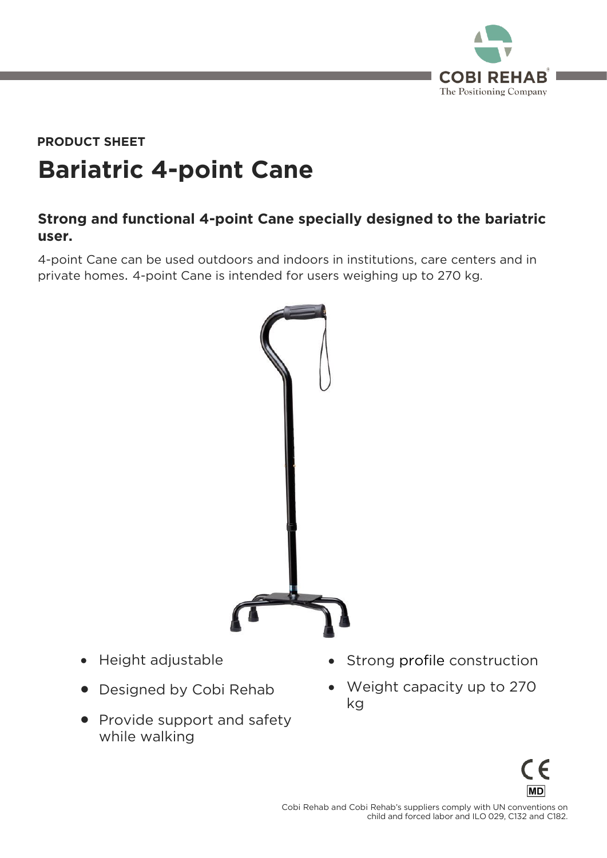

# **Bariatric 4-point Cane PRODUCT SHEET**

# **Strong and functional 4-point Cane specially designed to the bariatric user.**

4-point Cane can be used outdoors and indoors in institutions, care centers and in private homes. 4-point Cane is intended for users weighing up to 270 kg.



- Height adjustable
- Designed by Cobi Rehab
- Provide support and safety<br>while walking while walking
- Strong profile construction
- Weight capacity up to 270 kg

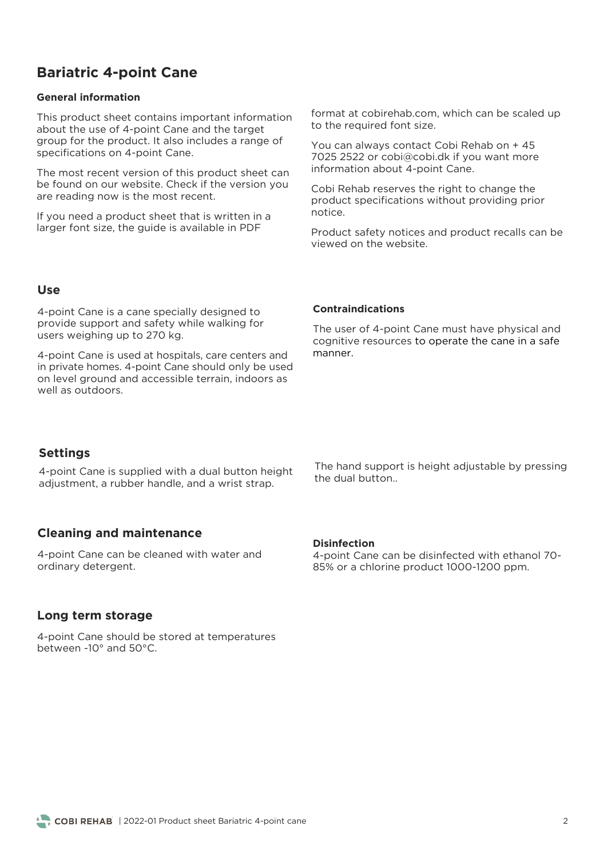# **Bariatric 4-point Cane**

#### **General information**

This product sheet contains important information<br>about the use of 4-point Cane and the target group for the product. It also includes a range of specifications on 4-point Cane. specifications on 4-point Cane.

The most recent version of this product sheet can<br>be found on our website. Check if the version you are reading now is the most recent. are reading now is the most recent.

 $\frac{1}{2}$  arger font size the quide is available in PDF larger font size, the guide is available in PDF

 $\frac{1}{2}$  for the required font size to the required font size.

You can always contact Cobi Rehab on + 45<br>7025 2522 or cobi@cobi.dk if you want more  $\frac{1}{2}$  information about 4-point Cane information about 4-point Cane.

Cobi Rehab reserves the right to change the product specifications without providing prior notice.

Product safety notices and product recalls can be viewed on the website

### **Use**

4-point Cane is a cane specially designed to<br>provide support and safety while walking for  $\rho$  is a support and safety walking support and safety  $\rho$ users weighing up to 270 kg.

4-point Cane is used at hospitals, care centers and<br>in private homes. 4-point Cane should only be used on level ground and accessible terrain, indoors as well as outdoors.

#### **Contraindications**

The user of 4-point Cane must have physical and cognitive resources to operate the cane in a safe manner.

# **Settings**

4-point Cane is supplied with a dual button height adjustment, a rubber handle, and a wrist strap. adjustment, a rubber handle, and a wrist strap.

## **Cleaning and maintenance**

4-point Cane can be cleaned with water and ordinary detergent. ordinary detergent.

## **Long term storage**

4-point Cane should be stored at temperatures<br>between -10 $^{\circ}$  and 50 $^{\circ}$ C.

The hand support is height adjustable by pressing<br>the dual button..

#### **Disinfection**

4-point Cane can be disinfected with ethanol 70-85% or a chlorine product 1000-1200 ppm. 85% or a chlorine product 1000-1200 ppm.